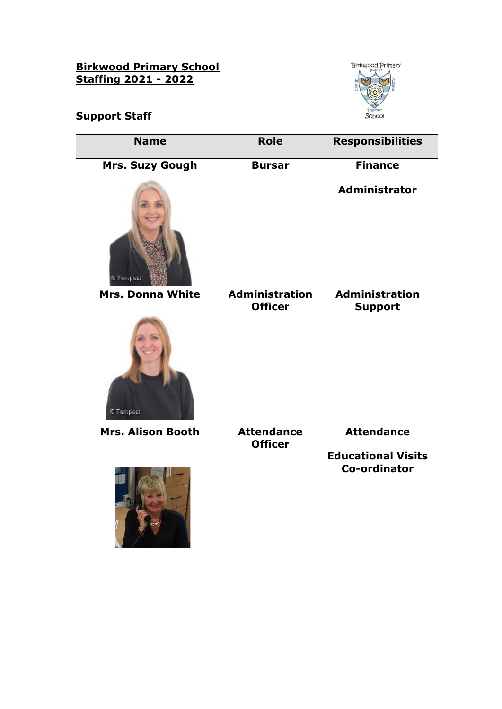## **Birkwood Primary School Staffing 2021 - 2022**



## **Support Staff**

| <b>Name</b>              | <b>Role</b>                             | <b>Responsibilities</b>                   |
|--------------------------|-----------------------------------------|-------------------------------------------|
| <b>Mrs. Suzy Gough</b>   | <b>Bursar</b>                           | <b>Finance</b>                            |
| 6 Tempest                |                                         | <b>Administrator</b>                      |
| <b>Mrs. Donna White</b>  | <b>Administration</b><br><b>Officer</b> | <b>Administration</b><br><b>Support</b>   |
| <b>6 Tempest</b>         |                                         |                                           |
| <b>Mrs. Alison Booth</b> | <b>Attendance</b><br><b>Officer</b>     | <b>Attendance</b>                         |
|                          |                                         | <b>Educational Visits</b><br>Co-ordinator |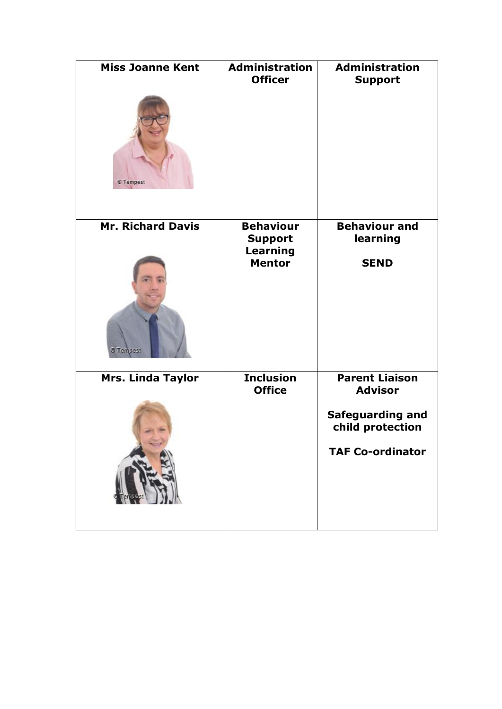| <b>Miss Joanne Kent</b>  | <b>Administration</b><br><b>Officer</b> | <b>Administration</b><br><b>Support</b>     |
|--------------------------|-----------------------------------------|---------------------------------------------|
| © Tempest                |                                         |                                             |
| <b>Mr. Richard Davis</b> | <b>Behaviour</b><br><b>Support</b>      | <b>Behaviour and</b><br>learning            |
|                          | <b>Learning</b><br><b>Mentor</b>        | <b>SEND</b>                                 |
| @ Tempest                |                                         |                                             |
| <b>Mrs. Linda Taylor</b> | <b>Inclusion</b><br><b>Office</b>       | <b>Parent Liaison</b><br><b>Advisor</b>     |
|                          |                                         | <b>Safeguarding and</b><br>child protection |
|                          |                                         | <b>TAF Co-ordinator</b>                     |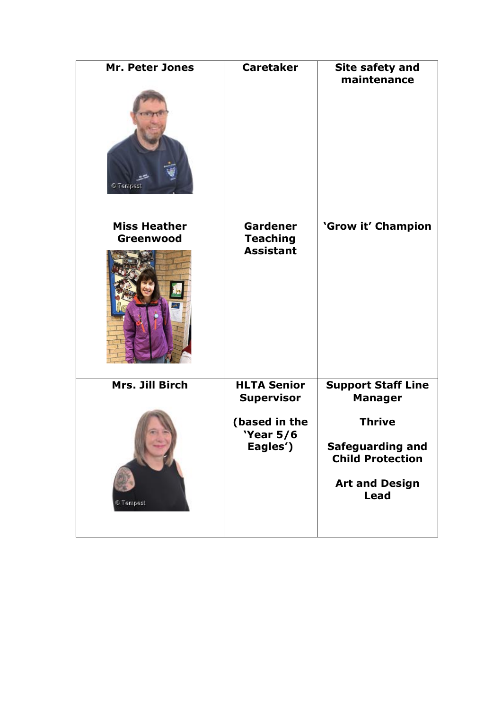| <b>Mr. Peter Jones</b><br><b>6 Tempest</b> | <b>Caretaker</b>                                                                         | Site safety and<br>maintenance                                                                                                                             |
|--------------------------------------------|------------------------------------------------------------------------------------------|------------------------------------------------------------------------------------------------------------------------------------------------------------|
| <b>Miss Heather</b><br>Greenwood           | Gardener<br><b>Teaching</b><br><b>Assistant</b>                                          | 'Grow it' Champion                                                                                                                                         |
| Mrs. Jill Birch<br>6 Tempest               | <b>HLTA Senior</b><br><b>Supervisor</b><br>(based in the<br><b>'Year 5/6</b><br>Eagles') | <b>Support Staff Line</b><br><b>Manager</b><br><b>Thrive</b><br><b>Safeguarding and</b><br><b>Child Protection</b><br><b>Art and Design</b><br><b>Lead</b> |
|                                            |                                                                                          |                                                                                                                                                            |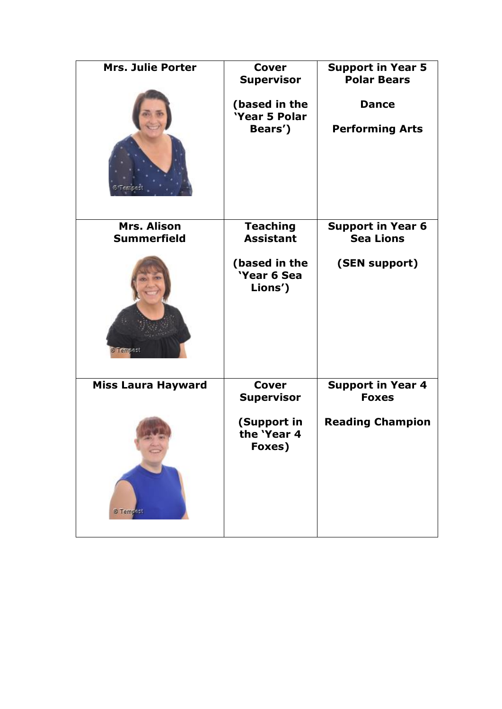| <b>Mrs. Julie Porter</b><br>Tempes | <b>Cover</b><br><b>Supervisor</b><br>(based in the<br>'Year 5 Polar<br>Bears') | <b>Support in Year 5</b><br><b>Polar Bears</b><br><b>Dance</b><br><b>Performing Arts</b> |
|------------------------------------|--------------------------------------------------------------------------------|------------------------------------------------------------------------------------------|
| Mrs. Alison<br><b>Summerfield</b>  | <b>Teaching</b><br><b>Assistant</b>                                            | <b>Support in Year 6</b><br><b>Sea Lions</b>                                             |
| <b>8 Tempest</b>                   | (based in the<br>'Year 6 Sea<br>Lions')                                        | (SEN support)                                                                            |
| <b>Miss Laura Hayward</b>          | <b>Cover</b><br><b>Supervisor</b>                                              | <b>Support in Year 4</b><br><b>Foxes</b>                                                 |
| <b>© Tempast</b>                   | (Support in<br>the 'Year 4<br>Foxes)                                           | <b>Reading Champion</b>                                                                  |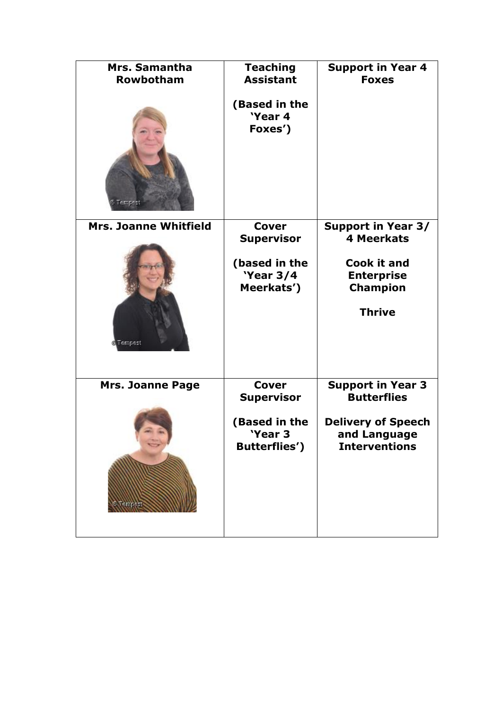| Mrs. Samantha<br><b>Rowbotham</b><br>® Tempest | <b>Teaching</b><br><b>Assistant</b><br>(Based in the<br>'Year 4<br>Foxes')            | <b>Support in Year 4</b><br><b>Foxes</b>                                                                                      |
|------------------------------------------------|---------------------------------------------------------------------------------------|-------------------------------------------------------------------------------------------------------------------------------|
| <b>Mrs. Joanne Whitfield</b><br>Tempest        | <b>Cover</b><br><b>Supervisor</b><br>(based in the<br><b>'Year 3/4</b><br>Meerkats')  | <b>Support in Year 3/</b><br><b>4 Meerkats</b><br><b>Cook it and</b><br><b>Enterprise</b><br><b>Champion</b><br><b>Thrive</b> |
| <b>Mrs. Joanne Page</b>                        | <b>Cover</b><br><b>Supervisor</b><br>(Based in the<br>'Year 3<br><b>Butterflies')</b> | <b>Support in Year 3</b><br><b>Butterflies</b><br><b>Delivery of Speech</b><br>and Language<br><b>Interventions</b>           |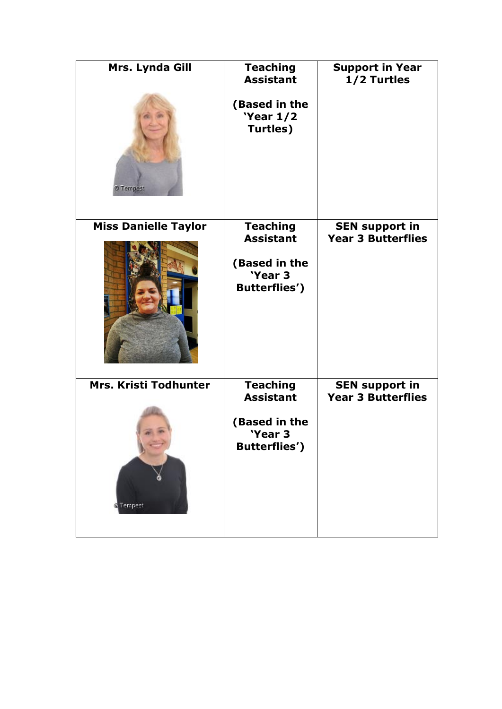| Mrs. Lynda Gill<br><b>@ Tempest</b> | <b>Teaching</b><br><b>Assistant</b><br>(Based in the<br><b>'Year 1/2</b><br>Turtles)    | <b>Support in Year</b><br>1/2 Turtles              |
|-------------------------------------|-----------------------------------------------------------------------------------------|----------------------------------------------------|
| <b>Miss Danielle Taylor</b>         | <b>Teaching</b><br><b>Assistant</b><br>(Based in the<br>'Year 3<br><b>Butterflies')</b> | <b>SEN support in</b><br><b>Year 3 Butterflies</b> |
| Mrs. Kristi Todhunter<br>Tempest    | <b>Teaching</b><br><b>Assistant</b><br>(Based in the<br>'Year 3<br><b>Butterflies')</b> | <b>SEN support in</b><br><b>Year 3 Butterflies</b> |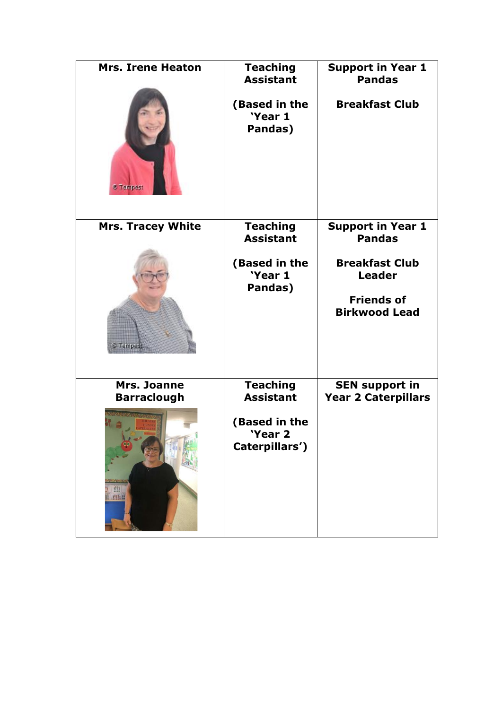| <b>Mrs. Irene Heaton</b>          | <b>Teaching</b><br><b>Assistant</b>        | <b>Support in Year 1</b><br><b>Pandas</b>                                           |
|-----------------------------------|--------------------------------------------|-------------------------------------------------------------------------------------|
| <b>® Tempest</b>                  | (Based in the<br>'Year 1<br>Pandas)        | <b>Breakfast Club</b>                                                               |
| <b>Mrs. Tracey White</b>          | <b>Teaching</b><br><b>Assistant</b>        | <b>Support in Year 1</b><br><b>Pandas</b>                                           |
|                                   | (Based in the<br>'Year 1<br>Pandas)        | <b>Breakfast Club</b><br><b>Leader</b><br><b>Friends of</b><br><b>Birkwood Lead</b> |
| Mrs. Joanne<br><b>Barraclough</b> | <b>Teaching</b><br><b>Assistant</b>        | <b>SEN support in</b><br><b>Year 2 Caterpillars</b>                                 |
| 1111<br><b>Hiti B</b>             | (Based in the<br>'Year 2<br>Caterpillars') |                                                                                     |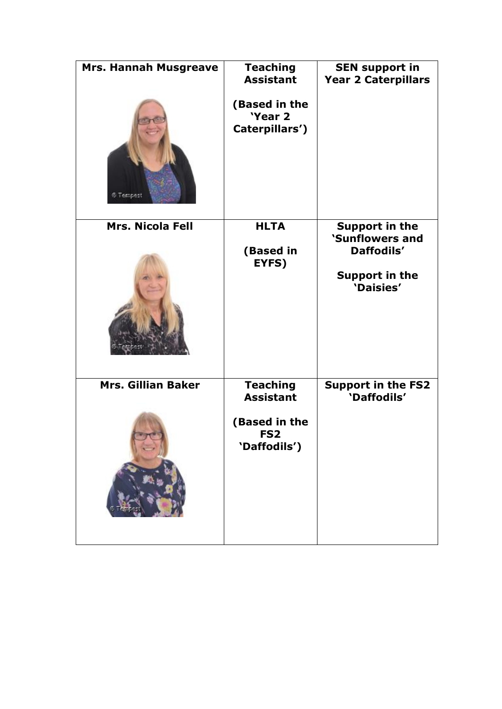| <b>Mrs. Hannah Musgreave</b><br><b>© Tempest</b> | <b>Teaching</b><br><b>Assistant</b><br>(Based in the<br>'Year 2<br>Caterpillars')       | <b>SEN support in</b><br><b>Year 2 Caterpillars</b>                                          |
|--------------------------------------------------|-----------------------------------------------------------------------------------------|----------------------------------------------------------------------------------------------|
| <b>Mrs. Nicola Fell</b><br>empes                 | <b>HLTA</b><br>(Based in<br>EYFS)                                                       | <b>Support in the</b><br>'Sunflowers and<br>Daffodils'<br><b>Support in the</b><br>'Daisies' |
| <b>Mrs. Gillian Baker</b>                        | <b>Teaching</b><br><b>Assistant</b><br>(Based in the<br>FS <sub>2</sub><br>'Daffodils') | <b>Support in the FS2</b><br>'Daffodils'                                                     |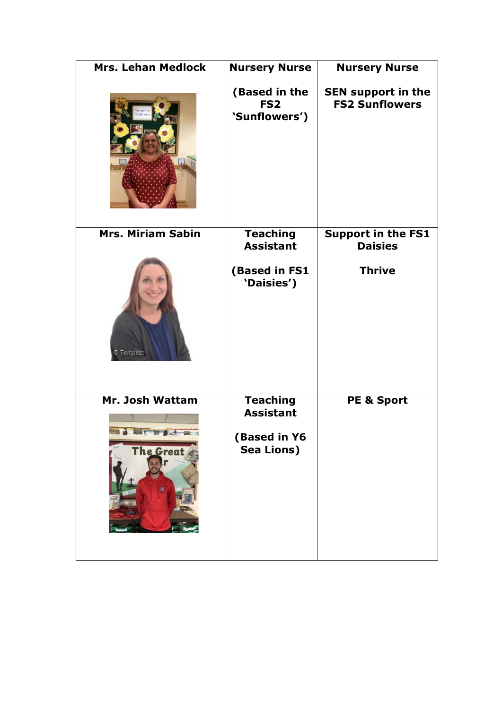| <b>Mrs. Lehan Medlock</b>    | <b>Nursery Nurse</b>                                                            | <b>Nursery Nurse</b>                               |
|------------------------------|---------------------------------------------------------------------------------|----------------------------------------------------|
|                              | (Based in the<br>FS <sub>2</sub><br>'Sunflowers')                               | <b>SEN support in the</b><br><b>FS2 Sunflowers</b> |
| <b>Mrs. Miriam Sabin</b>     | <b>Teaching</b><br><b>Assistant</b>                                             | <b>Support in the FS1</b><br><b>Daisies</b>        |
| <b>6 Tempest</b>             | <b>(Based in FS1</b><br>'Daisies')                                              | <b>Thrive</b>                                      |
| Mr. Josh Wattam<br>The Great | <b>Teaching</b><br><b>Assistant</b><br><b>(Based in Y6</b><br><b>Sea Lions)</b> | <b>PE &amp; Sport</b>                              |
|                              |                                                                                 |                                                    |